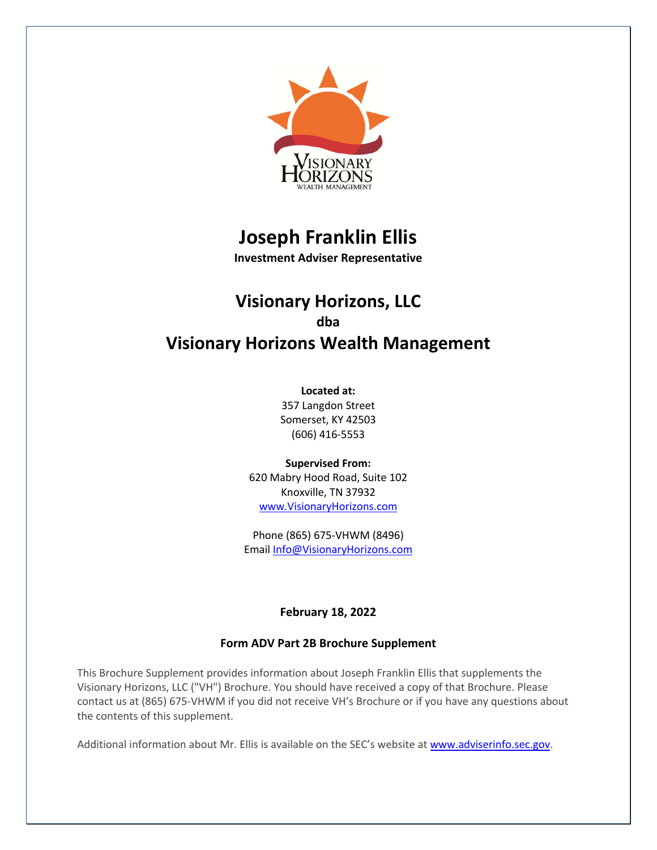

# **Joseph Franklin Ellis**

**Investment Adviser Representative**

# **Visionary Horizons, LLC dba Visionary Horizons Wealth Management**

**Located at:**

357 Langdon Street Somerset, KY 42503 (606) 416-5553

**Supervised From:** 620 Mabry Hood Road, Suite 102 Knoxville, TN 37932 www.VisionaryHorizons.com

Phone (865) 675-VHWM (8496) Email Info@VisionaryHorizons.com

# **February 18, 2022**

# **Form ADV Part 2B Brochure Supplement**

This Brochure Supplement provides information about Joseph Franklin Ellis that supplements the Visionary Horizons, LLC ("VH") Brochure. You should have received a copy of that Brochure. Please contact us at (865) 675-VHWM if you did not receive VH's Brochure or if you have any questions about the contents of this supplement.

Additional information about Mr. Ellis is available on the SEC's website at www.adviserinfo.sec.gov.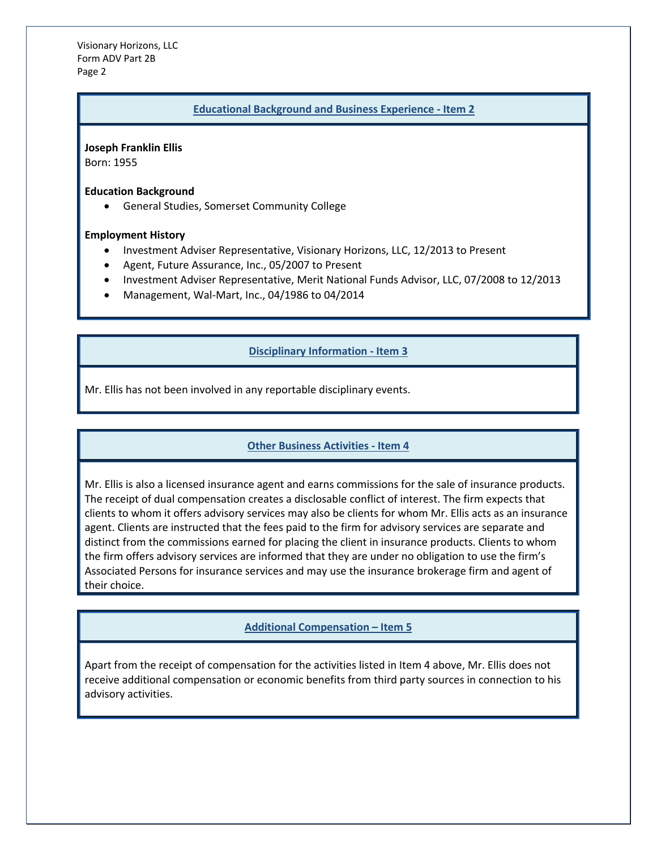Visionary Horizons, LLC Form ADV Part 2B Page 2

#### **Educational Background and Business Experience - Item 2**

**Joseph Franklin Ellis**

Born: 1955

**Education Background**

• General Studies, Somerset Community College

#### **Employment History**

- Investment Adviser Representative, Visionary Horizons, LLC, 12/2013 to Present
- Agent, Future Assurance, Inc., 05/2007 to Present
- Investment Adviser Representative, Merit National Funds Advisor, LLC, 07/2008 to 12/2013
- Management, Wal-Mart, Inc., 04/1986 to 04/2014

# **Disciplinary Information - Item 3**

Mr. Ellis has not been involved in any reportable disciplinary events.

# **Other Business Activities - Item 4**

Mr. Ellis is also a licensed insurance agent and earns commissions for the sale of insurance products. The receipt of dual compensation creates a disclosable conflict of interest. The firm expects that clients to whom it offers advisory services may also be clients for whom Mr. Ellis acts as an insurance agent. Clients are instructed that the fees paid to the firm for advisory services are separate and distinct from the commissions earned for placing the client in insurance products. Clients to whom the firm offers advisory services are informed that they are under no obligation to use the firm's Associated Persons for insurance services and may use the insurance brokerage firm and agent of their choice.

# **Additional Compensation – Item 5**

Apart from the receipt of compensation for the activities listed in Item 4 above, Mr. Ellis does not receive additional compensation or economic benefits from third party sources in connection to his advisory activities.